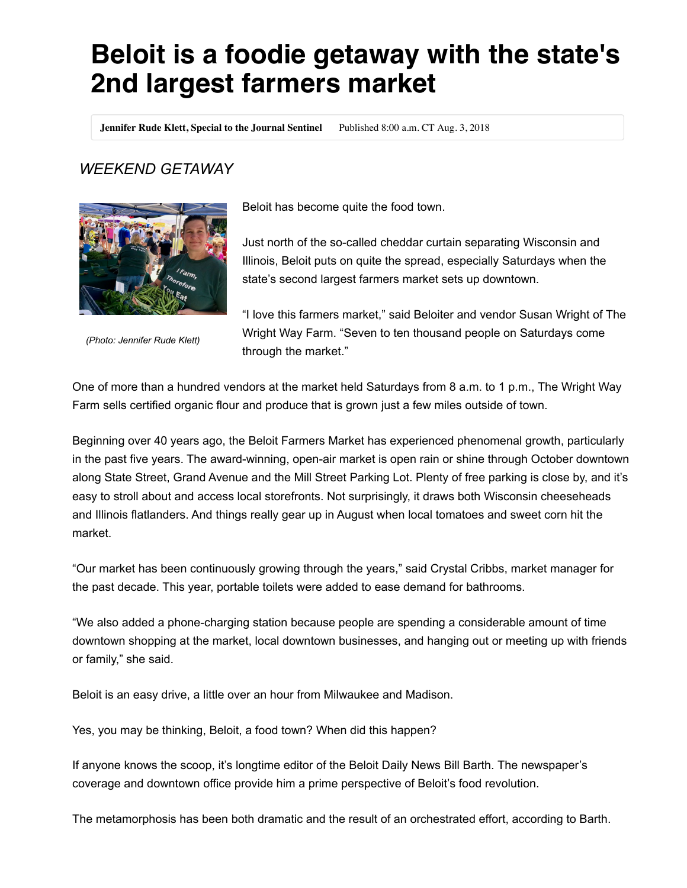## **Beloit is a foodie getaway with the state's 2nd largest farmers market**

**Jennifer Rude Klett, Special to the Journal Sentinel** Published 8:00 a.m. CT Aug. 3, 2018

## *WEEKEND GETAWAY*



*(Photo: Jennifer Rude Klett)*

Beloit has become quite the food town.

Just north of the so-called cheddar curtain separating Wisconsin and Illinois, Beloit puts on quite the spread, especially Saturdays when the state's second largest farmers market sets up downtown.

"I love this farmers market," said Beloiter and vendor Susan Wright of The Wright Way Farm. "Seven to ten thousand people on Saturdays come through the market."

One of more than a hundred vendors at the market held Saturdays from 8 a.m. to 1 p.m., The Wright Way Farm sells certified organic flour and produce that is grown just a few miles outside of town.

Beginning over 40 years ago, the Beloit Farmers Market has experienced phenomenal growth, particularly in the past five years. The award-winning, open-air market is open rain or shine through October downtown along State Street, Grand Avenue and the Mill Street Parking Lot. Plenty of free parking is close by, and it's easy to stroll about and access local storefronts. Not surprisingly, it draws both Wisconsin cheeseheads and Illinois flatlanders. And things really gear up in August when local tomatoes and sweet corn hit the market.

"Our market has been continuously growing through the years," said Crystal Cribbs, market manager for the past decade. This year, portable toilets were added to ease demand for bathrooms.

"We also added a phone-charging station because people are spending a considerable amount of time downtown shopping at the market, local downtown businesses, and hanging out or meeting up with friends or family," she said.

Beloit is an easy drive, a little over an hour from Milwaukee and Madison.

Yes, you may be thinking, Beloit, a food town? When did this happen?

If anyone knows the scoop, it's longtime editor of the Beloit Daily News Bill Barth. The newspaper's coverage and downtown office provide him a prime perspective of Beloit's food revolution.

The metamorphosis has been both dramatic and the result of an orchestrated effort, according to Barth.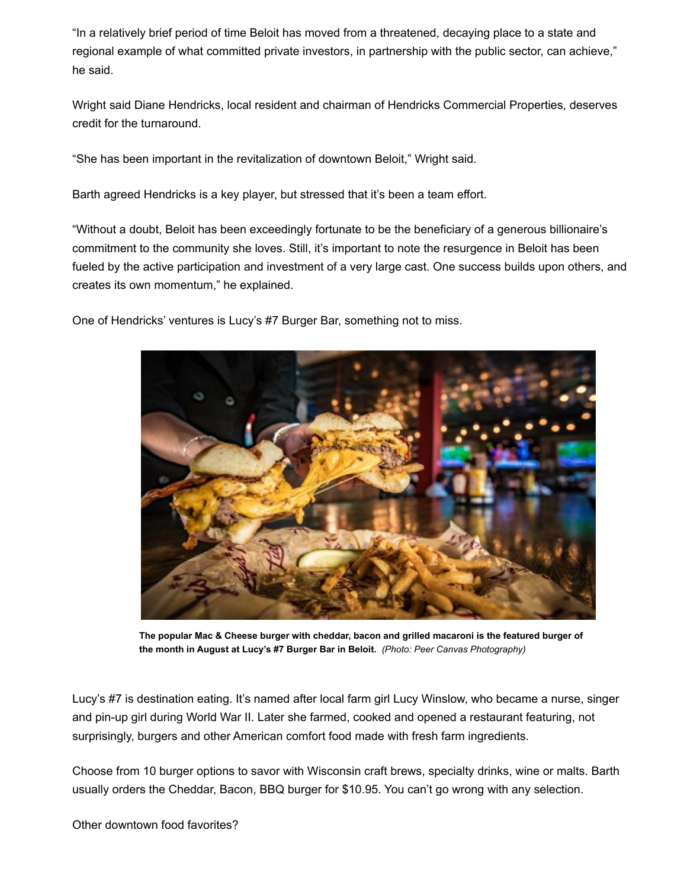"In a relatively brief period of time Beloit has moved from a threatened, decaying place to a state and regional example of what committed private investors, in partnership with the public sector, can achieve," he said.

Wright said Diane Hendricks, local resident and chairman of Hendricks Commercial Properties, deserves credit for the turnaround.

"She has been important in the revitalization of downtown Beloit," Wright said.

Barth agreed Hendricks is a key player, but stressed that it's been a team effort.

"Without a doubt, Beloit has been exceedingly fortunate to be the beneficiary of a generous billionaire's commitment to the community she loves. Still, it's important to note the resurgence in Beloit has been fueled by the active participation and investment of a very large cast. One success builds upon others, and creates its own momentum," he explained.

One of Hendricks' ventures is Lucy's #7 Burger Bar, something not to miss.



**The popular Mac & Cheese burger with cheddar, bacon and grilled macaroni is the featured burger of the month in August at Lucy's #7 Burger Bar in Beloit.**  *(Photo: Peer Canvas Photography)*

Lucy's #7 is destination eating. It's named after local farm girl Lucy Winslow, who became a nurse, singer and pin-up girl during World War II. Later she farmed, cooked and opened a restaurant featuring, not surprisingly, burgers and other American comfort food made with fresh farm ingredients.

Choose from 10 burger options to savor with Wisconsin craft brews, specialty drinks, wine or malts. Barth usually orders the Cheddar, Bacon, BBQ burger for \$10.95. You can't go wrong with any selection.

Other downtown food favorites?